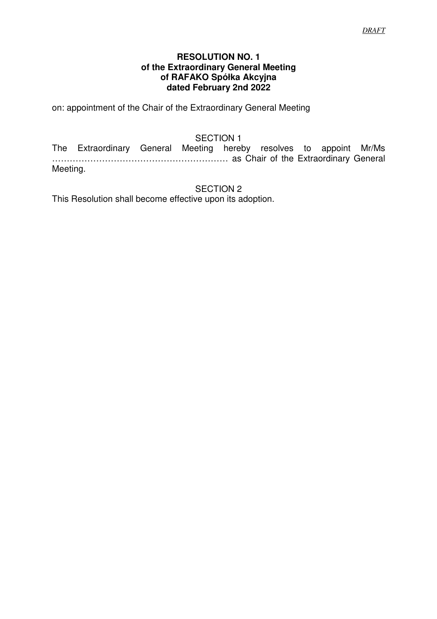### **RESOLUTION NO. 1 of the Extraordinary General Meeting of RAFAKO Spółka Akcyjna dated February 2nd 2022**

on: appointment of the Chair of the Extraordinary General Meeting

# SECTION 1

The Extraordinary General Meeting hereby resolves to appoint Mr/Ms …………………………………………………… as Chair of the Extraordinary General Meeting.

SECTION 2

This Resolution shall become effective upon its adoption.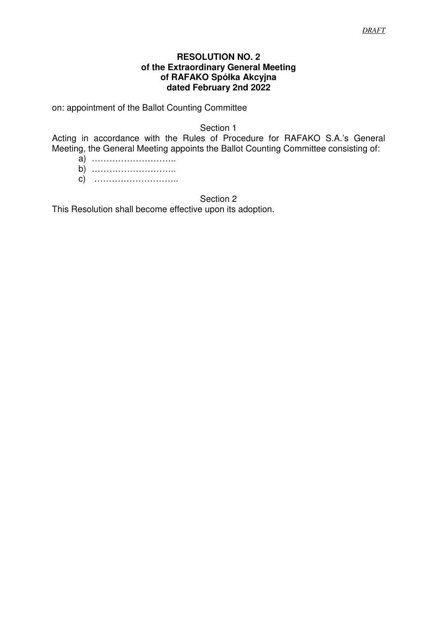### **RESOLUTION NO. 2 of the Extraordinary General Meeting of RAFAKO Spółka Akcyjna dated February 2nd 2022**

on: appointment of the Ballot Counting Committee

Section 1

Acting in accordance with the Rules of Procedure for RAFAKO S.A.'s General Meeting, the General Meeting appoints the Ballot Counting Committee consisting of:

- a) ………………………..
- b) ………………………..
- c) ………………………..

Section 2

This Resolution shall become effective upon its adoption.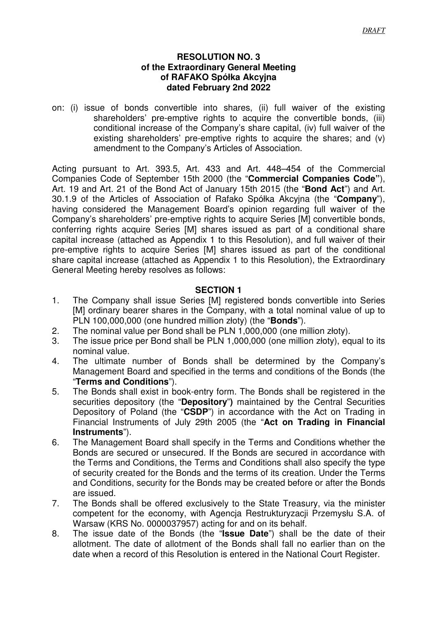### **RESOLUTION NO. 3 of the Extraordinary General Meeting of RAFAKO Spółka Akcyjna dated February 2nd 2022**

on: (i) issue of bonds convertible into shares, (ii) full waiver of the existing shareholders' pre-emptive rights to acquire the convertible bonds, (iii) conditional increase of the Company's share capital, (iv) full waiver of the existing shareholders' pre-emptive rights to acquire the shares; and (v) amendment to the Company's Articles of Association.

Acting pursuant to Art. 393.5, Art. 433 and Art. 448–454 of the Commercial Companies Code of September 15th 2000 (the "**Commercial Companies Code"**), Art. 19 and Art. 21 of the Bond Act of January 15th 2015 (the "**Bond Act**") and Art. 30.1.9 of the Articles of Association of Rafako Spółka Akcyjna (the "**Company**"), having considered the Management Board's opinion regarding full waiver of the Company's shareholders' pre-emptive rights to acquire Series [M] convertible bonds, conferring rights acquire Series [M] shares issued as part of a conditional share capital increase (attached as Appendix 1 to this Resolution), and full waiver of their pre-emptive rights to acquire Series [M] shares issued as part of the conditional share capital increase (attached as Appendix 1 to this Resolution), the Extraordinary General Meeting hereby resolves as follows:

# **SECTION 1**

- 1. The Company shall issue Series [M] registered bonds convertible into Series [M] ordinary bearer shares in the Company, with a total nominal value of up to PLN 100,000,000 (one hundred million złoty) (the "**Bonds**").
- 2. The nominal value per Bond shall be PLN 1,000,000 (one million złoty).
- 3. The issue price per Bond shall be PLN 1,000,000 (one million złoty), equal to its nominal value.
- 4. The ultimate number of Bonds shall be determined by the Company's Management Board and specified in the terms and conditions of the Bonds (the "**Terms and Conditions**").
- 5. The Bonds shall exist in book-entry form. The Bonds shall be registered in the securities depository (the "**Depository**"**)** maintained by the Central Securities Depository of Poland (the "**CSDP**") in accordance with the Act on Trading in Financial Instruments of July 29th 2005 (the "**Act on Trading in Financial Instruments**").
- 6. The Management Board shall specify in the Terms and Conditions whether the Bonds are secured or unsecured. If the Bonds are secured in accordance with the Terms and Conditions, the Terms and Conditions shall also specify the type of security created for the Bonds and the terms of its creation. Under the Terms and Conditions, security for the Bonds may be created before or after the Bonds are issued.
- 7. The Bonds shall be offered exclusively to the State Treasury, via the minister competent for the economy, with Agencja Restrukturyzacji Przemysłu S.A. of Warsaw (KRS No. 0000037957) acting for and on its behalf.
- 8. The issue date of the Bonds (the "**Issue Date**") shall be the date of their allotment. The date of allotment of the Bonds shall fall no earlier than on the date when a record of this Resolution is entered in the National Court Register.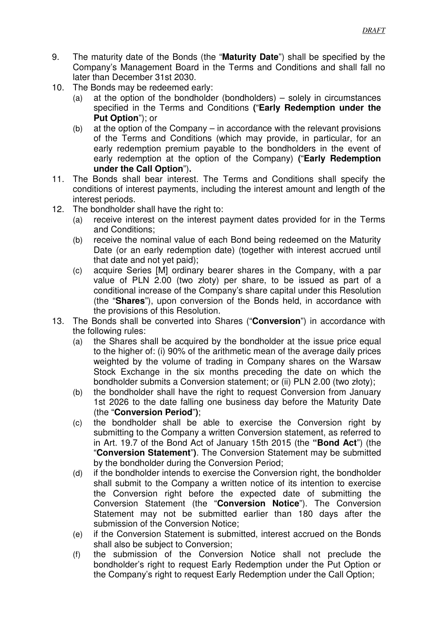- 9. The maturity date of the Bonds (the "**Maturity Date**") shall be specified by the Company's Management Board in the Terms and Conditions and shall fall no later than December 31st 2030.
- 10. The Bonds may be redeemed early:
	- (a) at the option of the bondholder (bondholders) solely in circumstances specified in the Terms and Conditions **(**"**Early Redemption under the Put Option**"); or
	- (b) at the option of the Company in accordance with the relevant provisions of the Terms and Conditions (which may provide, in particular, for an early redemption premium payable to the bondholders in the event of early redemption at the option of the Company) **(**"**Early Redemption under the Call Option**")**.**
- 11. The Bonds shall bear interest. The Terms and Conditions shall specify the conditions of interest payments, including the interest amount and length of the interest periods.
- 12. The bondholder shall have the right to:
	- (a) receive interest on the interest payment dates provided for in the Terms and Conditions;
	- (b) receive the nominal value of each Bond being redeemed on the Maturity Date (or an early redemption date) (together with interest accrued until that date and not yet paid);
	- (c) acquire Series [M] ordinary bearer shares in the Company, with a par value of PLN 2.00 (two złoty) per share, to be issued as part of a conditional increase of the Company's share capital under this Resolution (the "**Shares**"), upon conversion of the Bonds held, in accordance with the provisions of this Resolution.
- 13. The Bonds shall be converted into Shares ("**Conversion**") in accordance with the following rules:
	- (a) the Shares shall be acquired by the bondholder at the issue price equal to the higher of: (i) 90% of the arithmetic mean of the average daily prices weighted by the volume of trading in Company shares on the Warsaw Stock Exchange in the six months preceding the date on which the bondholder submits a Conversion statement; or (ii) PLN 2.00 (two złoty);
	- (b) the bondholder shall have the right to request Conversion from January 1st 2026 to the date falling one business day before the Maturity Date (the "**Conversion Period**"**)**;
	- (c) the bondholder shall be able to exercise the Conversion right by submitting to the Company a written Conversion statement, as referred to in Art. 19.7 of the Bond Act of January 15th 2015 (the **"Bond Act**") (the "**Conversion Statement**"**)**. The Conversion Statement may be submitted by the bondholder during the Conversion Period;
	- (d) if the bondholder intends to exercise the Conversion right, the bondholder shall submit to the Company a written notice of its intention to exercise the Conversion right before the expected date of submitting the Conversion Statement (the "**Conversion Notice**"). The Conversion Statement may not be submitted earlier than 180 days after the submission of the Conversion Notice;
	- (e) if the Conversion Statement is submitted, interest accrued on the Bonds shall also be subject to Conversion;
	- (f) the submission of the Conversion Notice shall not preclude the bondholder's right to request Early Redemption under the Put Option or the Company's right to request Early Redemption under the Call Option;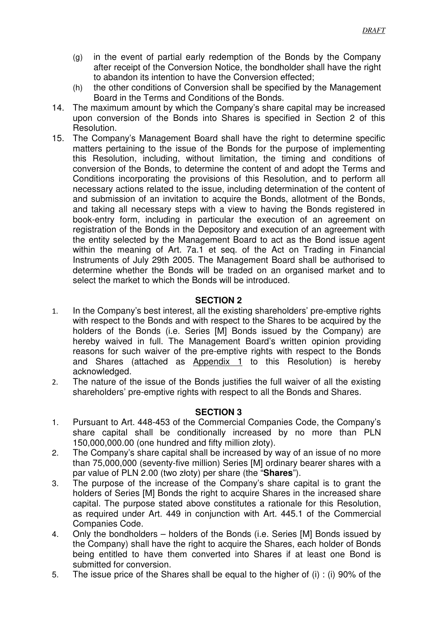- (g) in the event of partial early redemption of the Bonds by the Company after receipt of the Conversion Notice, the bondholder shall have the right to abandon its intention to have the Conversion effected;
- (h) the other conditions of Conversion shall be specified by the Management Board in the Terms and Conditions of the Bonds.
- 14. The maximum amount by which the Company's share capital may be increased upon conversion of the Bonds into Shares is specified in Section 2 of this Resolution.
- 15. The Company's Management Board shall have the right to determine specific matters pertaining to the issue of the Bonds for the purpose of implementing this Resolution, including, without limitation, the timing and conditions of conversion of the Bonds, to determine the content of and adopt the Terms and Conditions incorporating the provisions of this Resolution, and to perform all necessary actions related to the issue, including determination of the content of and submission of an invitation to acquire the Bonds, allotment of the Bonds, and taking all necessary steps with a view to having the Bonds registered in book-entry form, including in particular the execution of an agreement on registration of the Bonds in the Depository and execution of an agreement with the entity selected by the Management Board to act as the Bond issue agent within the meaning of Art. 7a.1 et seq. of the Act on Trading in Financial Instruments of July 29th 2005. The Management Board shall be authorised to determine whether the Bonds will be traded on an organised market and to select the market to which the Bonds will be introduced.

# **SECTION 2**

- 1. In the Company's best interest, all the existing shareholders' pre-emptive rights with respect to the Bonds and with respect to the Shares to be acquired by the holders of the Bonds (i.e. Series [M] Bonds issued by the Company) are hereby waived in full. The Management Board's written opinion providing reasons for such waiver of the pre-emptive rights with respect to the Bonds and Shares (attached as Appendix 1 to this Resolution) is hereby acknowledged.
- 2. The nature of the issue of the Bonds justifies the full waiver of all the existing shareholders' pre-emptive rights with respect to all the Bonds and Shares.

# **SECTION 3**

- 1. Pursuant to Art. 448-453 of the Commercial Companies Code, the Company's share capital shall be conditionally increased by no more than PLN 150,000,000.00 (one hundred and fifty million złoty).
- 2. The Company's share capital shall be increased by way of an issue of no more than 75,000,000 (seventy-five million) Series [M] ordinary bearer shares with a par value of PLN 2.00 (two złoty) per share (the "**Shares**").
- 3. The purpose of the increase of the Company's share capital is to grant the holders of Series [M] Bonds the right to acquire Shares in the increased share capital. The purpose stated above constitutes a rationale for this Resolution, as required under Art. 449 in conjunction with Art. 445.1 of the Commercial Companies Code.
- 4. Only the bondholders holders of the Bonds (i.e. Series [M] Bonds issued by the Company) shall have the right to acquire the Shares, each holder of Bonds being entitled to have them converted into Shares if at least one Bond is submitted for conversion.
- 5. The issue price of the Shares shall be equal to the higher of (i) : (i) 90% of the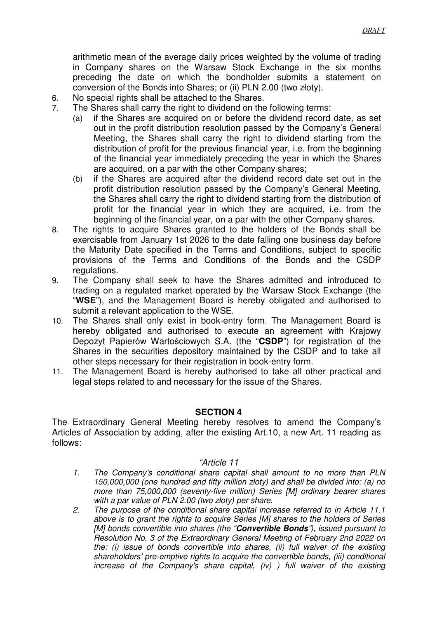arithmetic mean of the average daily prices weighted by the volume of trading in Company shares on the Warsaw Stock Exchange in the six months preceding the date on which the bondholder submits a statement on conversion of the Bonds into Shares; or (ii) PLN 2.00 (two złoty).

- 6. No special rights shall be attached to the Shares.
- 7. The Shares shall carry the right to dividend on the following terms:
	- (a) if the Shares are acquired on or before the dividend record date, as set out in the profit distribution resolution passed by the Company's General Meeting, the Shares shall carry the right to dividend starting from the distribution of profit for the previous financial year, i.e. from the beginning of the financial year immediately preceding the year in which the Shares are acquired, on a par with the other Company shares;
	- (b) if the Shares are acquired after the dividend record date set out in the profit distribution resolution passed by the Company's General Meeting, the Shares shall carry the right to dividend starting from the distribution of profit for the financial year in which they are acquired, i.e. from the beginning of the financial year, on a par with the other Company shares.
- 8. The rights to acquire Shares granted to the holders of the Bonds shall be exercisable from January 1st 2026 to the date falling one business day before the Maturity Date specified in the Terms and Conditions, subject to specific provisions of the Terms and Conditions of the Bonds and the CSDP regulations.
- 9. The Company shall seek to have the Shares admitted and introduced to trading on a regulated market operated by the Warsaw Stock Exchange (the "**WSE**"), and the Management Board is hereby obligated and authorised to submit a relevant application to the WSE.
- 10. The Shares shall only exist in book-entry form. The Management Board is hereby obligated and authorised to execute an agreement with Krajowy Depozyt Papierów Wartościowych S.A. (the "**CSDP**") for registration of the Shares in the securities depository maintained by the CSDP and to take all other steps necessary for their registration in book-entry form.
- 11. The Management Board is hereby authorised to take all other practical and legal steps related to and necessary for the issue of the Shares.

### **SECTION 4**

The Extraordinary General Meeting hereby resolves to amend the Company's Articles of Association by adding, after the existing Art.10, a new Art. 11 reading as follows:

#### "Article 11

- 1. The Company's conditional share capital shall amount to no more than PLN 150,000,000 (one hundred and fifty million złoty) and shall be divided into: (a) no more than 75,000,000 (seventy-five million) Series [M] ordinary bearer shares with a par value of PLN 2.00 (two złoty) per share.
- 2. The purpose of the conditional share capital increase referred to in Article 11.1 above is to grant the rights to acquire Series [M] shares to the holders of Series [M] bonds convertible into shares (the "**Convertible Bonds**"), issued pursuant to Resolution No. 3 of the Extraordinary General Meeting of February 2nd 2022 on the: (i) issue of bonds convertible into shares, (ii) full waiver of the existing shareholders' pre-emptive rights to acquire the convertible bonds, (iii) conditional increase of the Company's share capital, (iv) ) full waiver of the existing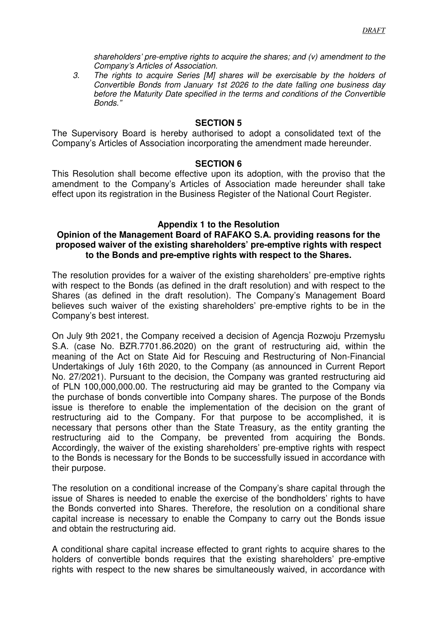shareholders' pre-emptive rights to acquire the shares; and (v) amendment to the Company's Articles of Association.

3. The rights to acquire Series [M] shares will be exercisable by the holders of Convertible Bonds from January 1st 2026 to the date falling one business day before the Maturity Date specified in the terms and conditions of the Convertible Bonds."

### **SECTION 5**

The Supervisory Board is hereby authorised to adopt a consolidated text of the Company's Articles of Association incorporating the amendment made hereunder.

#### **SECTION 6**

This Resolution shall become effective upon its adoption, with the proviso that the amendment to the Company's Articles of Association made hereunder shall take effect upon its registration in the Business Register of the National Court Register.

#### **Appendix 1 to the Resolution**

### **Opinion of the Management Board of RAFAKO S.A. providing reasons for the proposed waiver of the existing shareholders' pre-emptive rights with respect to the Bonds and pre-emptive rights with respect to the Shares.**

The resolution provides for a waiver of the existing shareholders' pre-emptive rights with respect to the Bonds (as defined in the draft resolution) and with respect to the Shares (as defined in the draft resolution). The Company's Management Board believes such waiver of the existing shareholders' pre-emptive rights to be in the Company's best interest.

On July 9th 2021, the Company received a decision of Agencja Rozwoju Przemysłu S.A. (case No. BZR.7701.86.2020) on the grant of restructuring aid, within the meaning of the Act on State Aid for Rescuing and Restructuring of Non-Financial Undertakings of July 16th 2020, to the Company (as announced in Current Report No. 27/2021). Pursuant to the decision, the Company was granted restructuring aid of PLN 100,000,000.00. The restructuring aid may be granted to the Company via the purchase of bonds convertible into Company shares. The purpose of the Bonds issue is therefore to enable the implementation of the decision on the grant of restructuring aid to the Company. For that purpose to be accomplished, it is necessary that persons other than the State Treasury, as the entity granting the restructuring aid to the Company, be prevented from acquiring the Bonds. Accordingly, the waiver of the existing shareholders' pre-emptive rights with respect to the Bonds is necessary for the Bonds to be successfully issued in accordance with their purpose.

The resolution on a conditional increase of the Company's share capital through the issue of Shares is needed to enable the exercise of the bondholders' rights to have the Bonds converted into Shares. Therefore, the resolution on a conditional share capital increase is necessary to enable the Company to carry out the Bonds issue and obtain the restructuring aid.

A conditional share capital increase effected to grant rights to acquire shares to the holders of convertible bonds requires that the existing shareholders' pre-emptive rights with respect to the new shares be simultaneously waived, in accordance with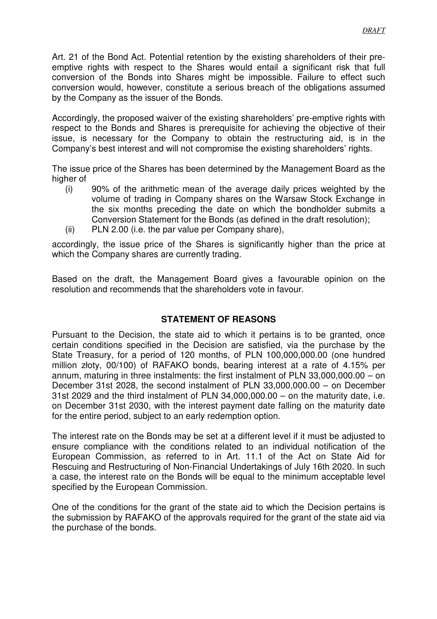Art. 21 of the Bond Act. Potential retention by the existing shareholders of their preemptive rights with respect to the Shares would entail a significant risk that full conversion of the Bonds into Shares might be impossible. Failure to effect such conversion would, however, constitute a serious breach of the obligations assumed by the Company as the issuer of the Bonds.

Accordingly, the proposed waiver of the existing shareholders' pre-emptive rights with respect to the Bonds and Shares is prerequisite for achieving the objective of their issue, is necessary for the Company to obtain the restructuring aid, is in the Company's best interest and will not compromise the existing shareholders' rights.

The issue price of the Shares has been determined by the Management Board as the higher of

- (i) 90% of the arithmetic mean of the average daily prices weighted by the volume of trading in Company shares on the Warsaw Stock Exchange in the six months preceding the date on which the bondholder submits a Conversion Statement for the Bonds (as defined in the draft resolution);
- (ii) PLN 2.00 (i.e. the par value per Company share),

accordingly, the issue price of the Shares is significantly higher than the price at which the Company shares are currently trading.

Based on the draft, the Management Board gives a favourable opinion on the resolution and recommends that the shareholders vote in favour.

# **STATEMENT OF REASONS**

Pursuant to the Decision, the state aid to which it pertains is to be granted, once certain conditions specified in the Decision are satisfied, via the purchase by the State Treasury, for a period of 120 months, of PLN 100,000,000.00 (one hundred million złoty, 00/100) of RAFAKO bonds, bearing interest at a rate of 4.15% per annum, maturing in three instalments: the first instalment of PLN 33,000,000.00 – on December 31st 2028, the second instalment of PLN 33,000,000.00 – on December 31st 2029 and the third instalment of PLN 34,000,000.00 – on the maturity date, i.e. on December 31st 2030, with the interest payment date falling on the maturity date for the entire period, subject to an early redemption option.

The interest rate on the Bonds may be set at a different level if it must be adjusted to ensure compliance with the conditions related to an individual notification of the European Commission, as referred to in Art. 11.1 of the Act on State Aid for Rescuing and Restructuring of Non-Financial Undertakings of July 16th 2020. In such a case, the interest rate on the Bonds will be equal to the minimum acceptable level specified by the European Commission.

One of the conditions for the grant of the state aid to which the Decision pertains is the submission by RAFAKO of the approvals required for the grant of the state aid via the purchase of the bonds.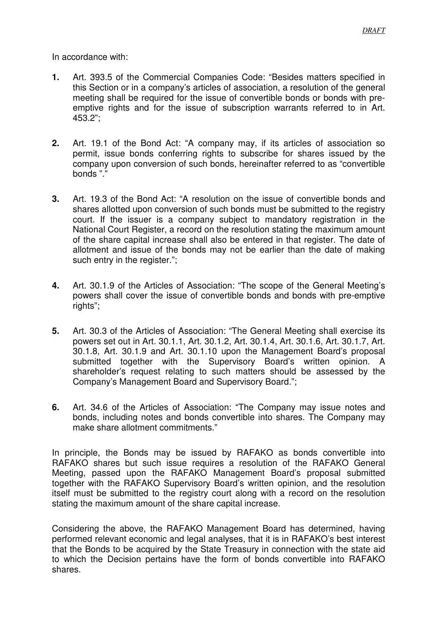In accordance with:

- **1.** Art. 393.5 of the Commercial Companies Code: "Besides matters specified in this Section or in a company's articles of association, a resolution of the general meeting shall be required for the issue of convertible bonds or bonds with preemptive rights and for the issue of subscription warrants referred to in Art. 453.2";
- **2.** Art. 19.1 of the Bond Act: "A company may, if its articles of association so permit, issue bonds conferring rights to subscribe for shares issued by the company upon conversion of such bonds, hereinafter referred to as "convertible bonds "."
- **3.** Art. 19.3 of the Bond Act: "A resolution on the issue of convertible bonds and shares allotted upon conversion of such bonds must be submitted to the registry court. If the issuer is a company subject to mandatory registration in the National Court Register, a record on the resolution stating the maximum amount of the share capital increase shall also be entered in that register. The date of allotment and issue of the bonds may not be earlier than the date of making such entry in the register.";
- **4.** Art. 30.1.9 of the Articles of Association: "The scope of the General Meeting's powers shall cover the issue of convertible bonds and bonds with pre-emptive rights";
- **5.** Art. 30.3 of the Articles of Association: "The General Meeting shall exercise its powers set out in Art. 30.1.1, Art. 30.1.2, Art. 30.1.4, Art. 30.1.6, Art. 30.1.7, Art. 30.1.8, Art. 30.1.9 and Art. 30.1.10 upon the Management Board's proposal submitted together with the Supervisory Board's written opinion. A shareholder's request relating to such matters should be assessed by the Company's Management Board and Supervisory Board.";
- **6.** Art. 34.6 of the Articles of Association: "The Company may issue notes and bonds, including notes and bonds convertible into shares. The Company may make share allotment commitments."

In principle, the Bonds may be issued by RAFAKO as bonds convertible into RAFAKO shares but such issue requires a resolution of the RAFAKO General Meeting, passed upon the RAFAKO Management Board's proposal submitted together with the RAFAKO Supervisory Board's written opinion, and the resolution itself must be submitted to the registry court along with a record on the resolution stating the maximum amount of the share capital increase.

Considering the above, the RAFAKO Management Board has determined, having performed relevant economic and legal analyses, that it is in RAFAKO's best interest that the Bonds to be acquired by the State Treasury in connection with the state aid to which the Decision pertains have the form of bonds convertible into RAFAKO shares.